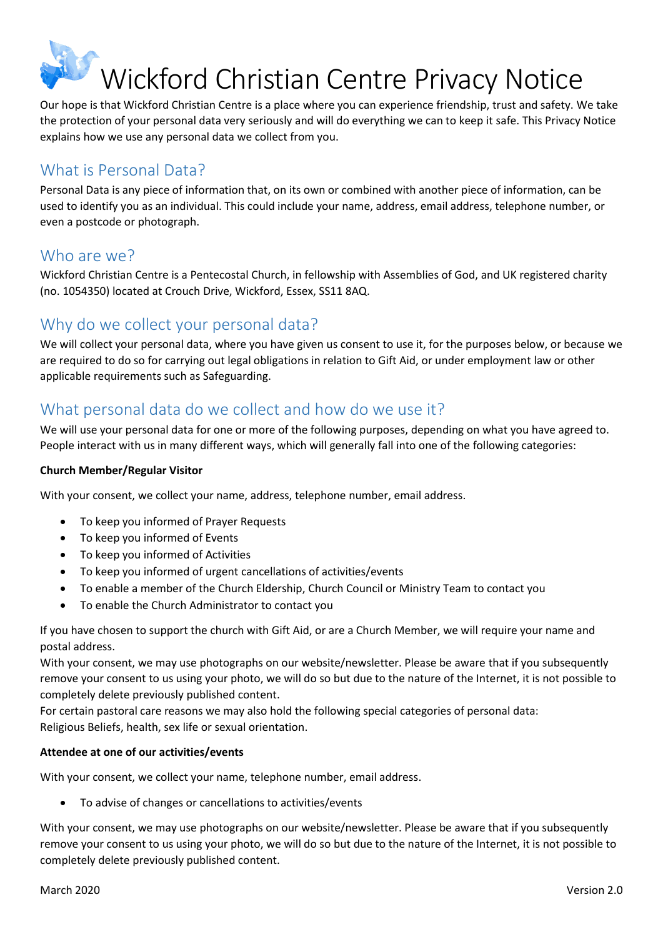# Wickford Christian Centre Privacy Notice

Our hope is that Wickford Christian Centre is a place where you can experience friendship, trust and safety. We take the protection of your personal data very seriously and will do everything we can to keep it safe. This Privacy Notice explains how we use any personal data we collect from you.

# What is Personal Data?

Personal Data is any piece of information that, on its own or combined with another piece of information, can be used to identify you as an individual. This could include your name, address, email address, telephone number, or even a postcode or photograph.

# Who are we?

Wickford Christian Centre is a Pentecostal Church, in fellowship with Assemblies of God, and UK registered charity (no. 1054350) located at Crouch Drive, Wickford, Essex, SS11 8AQ.

# Why do we collect your personal data?

We will collect your personal data, where you have given us consent to use it, for the purposes below, or because we are required to do so for carrying out legal obligations in relation to Gift Aid, or under employment law or other applicable requirements such as Safeguarding.

# What personal data do we collect and how do we use it?

We will use your personal data for one or more of the following purposes, depending on what you have agreed to. People interact with us in many different ways, which will generally fall into one of the following categories:

#### **Church Member/Regular Visitor**

With your consent, we collect your name, address, telephone number, email address.

- To keep you informed of Prayer Requests
- To keep you informed of Events
- To keep you informed of Activities
- To keep you informed of urgent cancellations of activities/events
- To enable a member of the Church Eldership, Church Council or Ministry Team to contact you
- To enable the Church Administrator to contact you

If you have chosen to support the church with Gift Aid, or are a Church Member, we will require your name and postal address.

With your consent, we may use photographs on our website/newsletter. Please be aware that if you subsequently remove your consent to us using your photo, we will do so but due to the nature of the Internet, it is not possible to completely delete previously published content.

For certain pastoral care reasons we may also hold the following special categories of personal data: Religious Beliefs, health, sex life or sexual orientation.

#### **Attendee at one of our activities/events**

With your consent, we collect your name, telephone number, email address.

To advise of changes or cancellations to activities/events

With your consent, we may use photographs on our website/newsletter. Please be aware that if you subsequently remove your consent to us using your photo, we will do so but due to the nature of the Internet, it is not possible to completely delete previously published content.